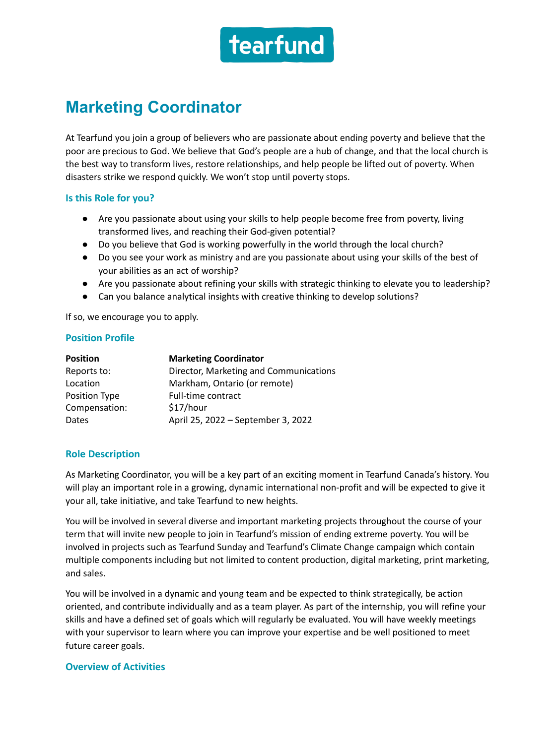

# **Marketing Coordinator**

At Tearfund you join a group of believers who are passionate about ending poverty and believe that the poor are precious to God. We believe that God's people are a hub of change, and that the local church is the best way to transform lives, restore relationships, and help people be lifted out of poverty. When disasters strike we respond quickly. We won't stop until poverty stops.

#### **Is this Role for you?**

- Are you passionate about using your skills to help people become free from poverty, living transformed lives, and reaching their God-given potential?
- Do you believe that God is working powerfully in the world through the local church?
- Do you see your work as ministry and are you passionate about using your skills of the best of your abilities as an act of worship?
- Are you passionate about refining your skills with strategic thinking to elevate you to leadership?
- Can you balance analytical insights with creative thinking to develop solutions?

If so, we encourage you to apply.

## **Position Profile**

| <b>Position</b> | <b>Marketing Coordinator</b>           |
|-----------------|----------------------------------------|
| Reports to:     | Director, Marketing and Communications |
| Location        | Markham, Ontario (or remote)           |
| Position Type   | Full-time contract                     |
| Compensation:   | \$17/hour                              |
| Dates           | April 25, 2022 - September 3, 2022     |

## **Role Description**

As Marketing Coordinator, you will be a key part of an exciting moment in Tearfund Canada's history. You will play an important role in a growing, dynamic international non-profit and will be expected to give it your all, take initiative, and take Tearfund to new heights.

You will be involved in several diverse and important marketing projects throughout the course of your term that will invite new people to join in Tearfund's mission of ending extreme poverty. You will be involved in projects such as Tearfund Sunday and Tearfund's Climate Change campaign which contain multiple components including but not limited to content production, digital marketing, print marketing, and sales.

You will be involved in a dynamic and young team and be expected to think strategically, be action oriented, and contribute individually and as a team player. As part of the internship, you will refine your skills and have a defined set of goals which will regularly be evaluated. You will have weekly meetings with your supervisor to learn where you can improve your expertise and be well positioned to meet future career goals.

#### **Overview of Activities**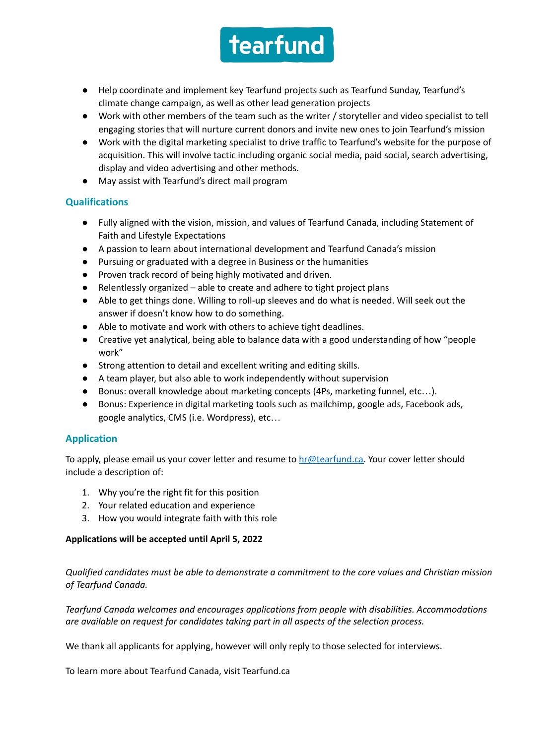

- Help coordinate and implement key Tearfund projects such as Tearfund Sunday, Tearfund's climate change campaign, as well as other lead generation projects
- Work with other members of the team such as the writer / storyteller and video specialist to tell engaging stories that will nurture current donors and invite new ones to join Tearfund's mission
- Work with the digital marketing specialist to drive traffic to Tearfund's website for the purpose of acquisition. This will involve tactic including organic social media, paid social, search advertising, display and video advertising and other methods.
- May assist with Tearfund's direct mail program

# **Qualifications**

- Fully aligned with the vision, mission, and values of Tearfund Canada, including Statement of Faith and Lifestyle Expectations
- A passion to learn about international development and Tearfund Canada's mission
- Pursuing or graduated with a degree in Business or the humanities
- Proven track record of being highly motivated and driven.
- Relentlessly organized able to create and adhere to tight project plans
- Able to get things done. Willing to roll-up sleeves and do what is needed. Will seek out the answer if doesn't know how to do something.
- Able to motivate and work with others to achieve tight deadlines.
- Creative yet analytical, being able to balance data with a good understanding of how "people work"
- Strong attention to detail and excellent writing and editing skills.
- A team player, but also able to work independently without supervision
- Bonus: overall knowledge about marketing concepts (4Ps, marketing funnel, etc…).
- Bonus: Experience in digital marketing tools such as mailchimp, google ads, Facebook ads, google analytics, CMS (i.e. Wordpress), etc…

# **Application**

To apply, please email us your cover letter and resume to  $hr@testund.ca.$  Your cover letter should include a description of:

- 1. Why you're the right fit for this position
- 2. Your related education and experience
- 3. How you would integrate faith with this role

## **Applications will be accepted until April 5, 2022**

*Qualified candidates must be able to demonstrate a commitment to the core values and Christian mission of Tearfund Canada.*

*Tearfund Canada welcomes and encourages applications from people with disabilities. Accommodations are available on request for candidates taking part in all aspects of the selection process.*

We thank all applicants for applying, however will only reply to those selected for interviews.

To learn more about Tearfund Canada, visit Tearfund.ca